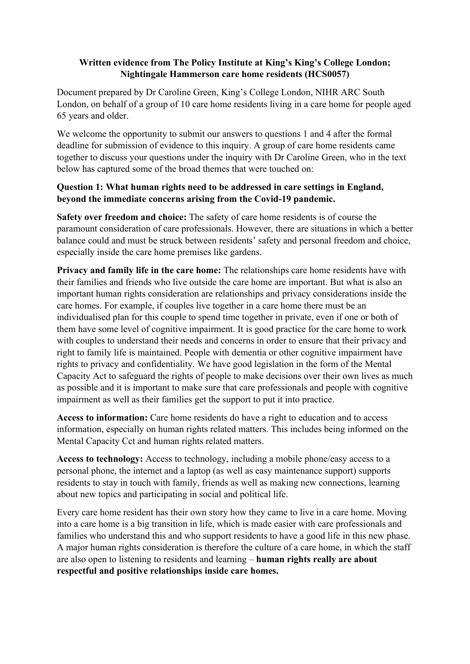## **Written evidence from The Policy Institute at King's King's College London; Nightingale Hammerson care home residents (HCS0057)**

Document prepared by Dr Caroline Green, King's College London, NIHR ARC South London, on behalf of a group of 10 care home residents living in a care home for people aged 65 years and older.

We welcome the opportunity to submit our answers to questions 1 and 4 after the formal deadline for submission of evidence to this inquiry. A group of care home residents came together to discuss your questions under the inquiry with Dr Caroline Green, who in the text below has captured some of the broad themes that were touched on:

## **Question 1: What human rights need to be addressed in care settings in England, beyond the immediate concerns arising from the Covid-19 pandemic.**

**Safety over freedom and choice:** The safety of care home residents is of course the paramount consideration of care professionals. However, there are situations in which a better balance could and must be struck between residents' safety and personal freedom and choice, especially inside the care home premises like gardens.

**Privacy and family life in the care home:** The relationships care home residents have with their families and friends who live outside the care home are important. But what is also an important human rights consideration are relationships and privacy considerations inside the care homes. For example, if couples live together in a care home there must be an individualised plan for this couple to spend time together in private, even if one or both of them have some level of cognitive impairment. It is good practice for the care home to work with couples to understand their needs and concerns in order to ensure that their privacy and right to family life is maintained. People with dementia or other cognitive impairment have rights to privacy and confidentiality. We have good legislation in the form of the Mental Capacity Act to safeguard the rights of people to make decisions over their own lives as much as possible and it is important to make sure that care professionals and people with cognitive impairment as well as their families get the support to put it into practice.

**Access to information:** Care home residents do have a right to education and to access information, especially on human rights related matters. This includes being informed on the Mental Capacity Cct and human rights related matters.

**Access to technology:** Access to technology, including a mobile phone/easy access to a personal phone, the internet and a laptop (as well as easy maintenance support) supports residents to stay in touch with family, friends as well as making new connections, learning about new topics and participating in social and political life.

Every care home resident has their own story how they came to live in a care home. Moving into a care home is a big transition in life, which is made easier with care professionals and families who understand this and who support residents to have a good life in this new phase. A major human rights consideration is therefore the culture of a care home, in which the staff are also open to listening to residents and learning – **human rights really are about respectful and positive relationships inside care homes.**